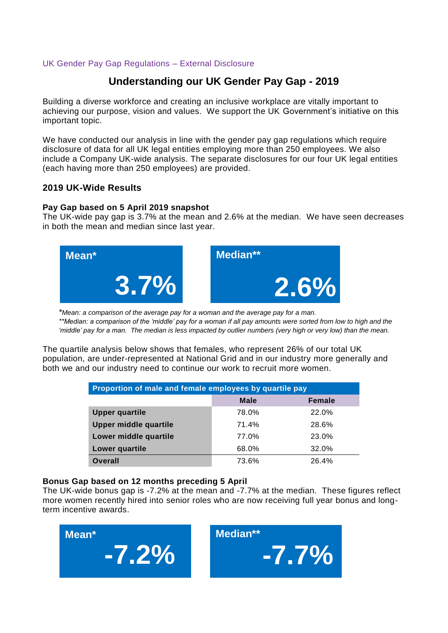### UK Gender Pay Gap Regulations – External Disclosure

## **Understanding our UK Gender Pay Gap - 2019**

Building a diverse workforce and creating an inclusive workplace are vitally important to achieving our purpose, vision and values. We support the UK Government's initiative on this important topic.

We have conducted our analysis in line with the gender pay gap regulations which require disclosure of data for all UK legal entities employing more than 250 employees. We also include a Company UK-wide analysis. The separate disclosures for our four UK legal entities (each having more than 250 employees) are provided.

### **2019 UK-Wide Results**

#### **Pay Gap based on 5 April 2019 snapshot**

The UK-wide pay gap is 3.7% at the mean and 2.6% at the median. We have seen decreases in both the mean and median since last year.



*\*Mean: a comparison of the average pay for a woman and the average pay for a man. \*\*Median: a comparison of the 'middle' pay for a woman if all pay amounts were sorted from low to high and the 'middle' pay for a man. The median is less impacted by outlier numbers (very high or very low) than the mean.*

The quartile analysis below shows that females, who represent 26% of our total UK population, are under-represented at National Grid and in our industry more generally and both we and our industry need to continue our work to recruit more women.

| Proportion of male and female employees by quartile pay |             |               |  |
|---------------------------------------------------------|-------------|---------------|--|
|                                                         | <b>Male</b> | <b>Female</b> |  |
| <b>Upper quartile</b>                                   | 78.0%       | 22.0%         |  |
| <b>Upper middle quartile</b>                            | 71.4%       | 28.6%         |  |
| Lower middle quartile                                   | 77.0%       | 23.0%         |  |
| Lower quartile                                          | 68.0%       | 32.0%         |  |
| Overall                                                 | 73.6%       | 26.4%         |  |

#### **Bonus Gap based on 12 months preceding 5 April**

The UK-wide bonus gap is -7.2% at the mean and -7.7% at the median. These figures reflect more women recently hired into senior roles who are now receiving full year bonus and longterm incentive awards.

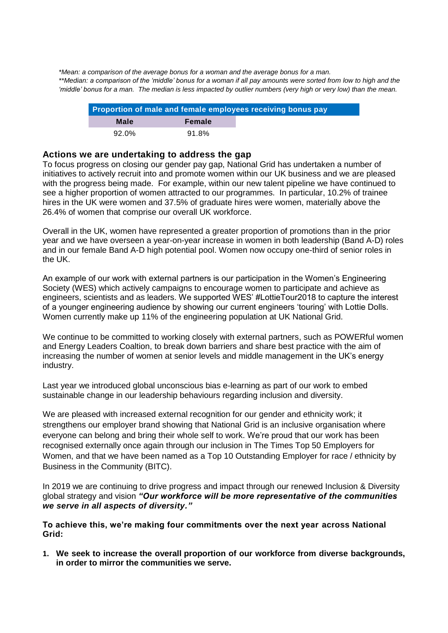*\*Mean: a comparison of the average bonus for a woman and the average bonus for a man. \*\*Median: a comparison of the 'middle' bonus for a woman if all pay amounts were sorted from low to high and the 'middle' bonus for a man. The median is less impacted by outlier numbers (very high or very low) than the mean.*

|       |               | Proportion of male and female employees receiving bonus pay |
|-------|---------------|-------------------------------------------------------------|
| Male  | <b>Female</b> |                                                             |
| 92.0% | 91.8%         |                                                             |

#### **Actions we are undertaking to address the gap**

To focus progress on closing our gender pay gap, National Grid has undertaken a number of initiatives to actively recruit into and promote women within our UK business and we are pleased with the progress being made. For example, within our new talent pipeline we have continued to see a higher proportion of women attracted to our programmes. In particular, 10.2% of trainee hires in the UK were women and 37.5% of graduate hires were women, materially above the 26.4% of women that comprise our overall UK workforce.

Overall in the UK, women have represented a greater proportion of promotions than in the prior year and we have overseen a year-on-year increase in women in both leadership (Band A-D) roles and in our female Band A-D high potential pool. Women now occupy one-third of senior roles in the UK.

An example of our work with external partners is our participation in the Women's Engineering Society (WES) which actively campaigns to encourage women to participate and achieve as engineers, scientists and as leaders. We supported WES' #LottieTour2018 to capture the interest of a younger engineering audience by showing our current engineers 'touring' with Lottie Dolls. Women currently make up 11% of the engineering population at UK National Grid.

We continue to be committed to working closely with external partners, such as POWERful women and Energy Leaders Coaltion, to break down barriers and share best practice with the aim of increasing the number of women at senior levels and middle management in the UK's energy industry.

Last year we introduced global unconscious bias e-learning as part of our work to embed sustainable change in our leadership behaviours regarding inclusion and diversity.

We are pleased with increased external recognition for our gender and ethnicity work; it strengthens our employer brand showing that National Grid is an inclusive organisation where everyone can belong and bring their whole self to work. We're proud that our work has been recognised externally once again through our inclusion in The Times Top 50 Employers for Women, and that we have been named as a Top 10 Outstanding Employer for race / ethnicity by Business in the Community (BITC).

In 2019 we are continuing to drive progress and impact through our renewed Inclusion & Diversity global strategy and vision *"Our workforce will be more representative of the communities we serve in all aspects of diversity."*

**To achieve this, we're making four commitments over the next year across National Grid:**

**1. We seek to increase the overall proportion of our workforce from diverse backgrounds, in order to mirror the communities we serve.**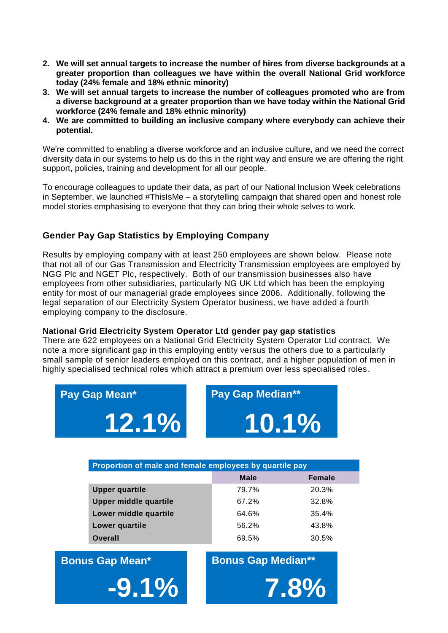- **2. We will set annual targets to increase the number of hires from diverse backgrounds at a greater proportion than colleagues we have within the overall National Grid workforce today (24% female and 18% ethnic minority)**
- **3. We will set annual targets to increase the number of colleagues promoted who are from a diverse background at a greater proportion than we have today within the National Grid workforce (24% female and 18% ethnic minority)**
- **4. We are committed to building an inclusive company where everybody can achieve their potential.**

We're committed to enabling a diverse workforce and an inclusive culture, and we need the correct diversity data in our systems to help us do this in the right way and ensure we are offering the right support, policies, training and development for all our people.

To encourage colleagues to update their data, as part of our National Inclusion Week celebrations in September, we launched #ThisIsMe – a storytelling campaign that shared open and honest role model stories emphasising to everyone that they can bring their whole selves to work.

## **Gender Pay Gap Statistics by Employing Company**

Results by employing company with at least 250 employees are shown below. Please note that not all of our Gas Transmission and Electricity Transmission employees are employed by NGG Plc and NGET Plc, respectively. Both of our transmission businesses also have employees from other subsidiaries, particularly NG UK Ltd which has been the employing entity for most of our managerial grade employees since 2006. Additionally, following the legal separation of our Electricity System Operator business, we have added a fourth employing company to the disclosure.

#### **National Grid Electricity System Operator Ltd gender pay gap statistics**

There are 622 employees on a National Grid Electricity System Operator Ltd contract. We note a more significant gap in this employing entity versus the others due to a particularly small sample of senior leaders employed on this contract, and a higher population of men in highly specialised technical roles which attract a premium over less specialised roles.

| Pay Gap Mean*                                           |  | <b>Pay Gap Median**</b> |        |
|---------------------------------------------------------|--|-------------------------|--------|
| 12.1%                                                   |  | 10.1%                   |        |
|                                                         |  |                         |        |
| Proportion of male and female employees by quartile pay |  |                         |        |
|                                                         |  | <b>Male</b>             | Female |
|                                                         |  |                         |        |

| <b>Upper quartile</b> | 79.7% | 20.3%    |
|-----------------------|-------|----------|
| Upper middle quartile | 67.2% | 32.8%    |
| Lower middle quartile | 64.6% | $35.4\%$ |
| Lower quartile        | 56.2% | 43.8%    |
| <b>Overall</b>        | 69.5% | 30.5%    |

**Bonus Gap Mean\***

**Bonus Gap Median\*\***

**7.8%**

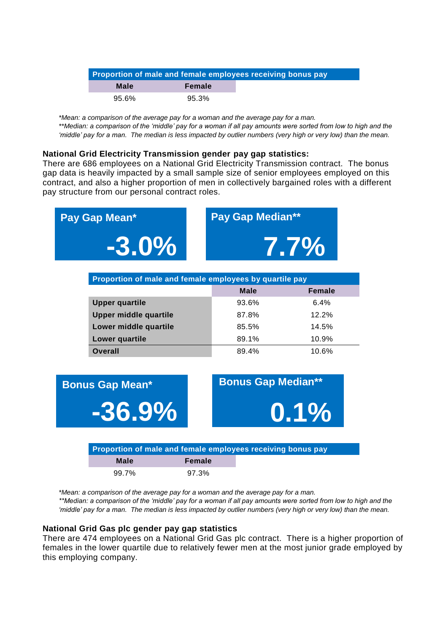| Proportion of male and female employees receiving bonus pay |          |  |  |
|-------------------------------------------------------------|----------|--|--|
| Male                                                        | Female   |  |  |
| 95.6%                                                       | $95.3\%$ |  |  |

*\*Mean: a comparison of the average pay for a woman and the average pay for a man.*

*\*\*Median: a comparison of the 'middle' pay for a woman if all pay amounts were sorted from low to high and the 'middle' pay for a man. The median is less impacted by outlier numbers (very high or very low) than the mean.*

#### **National Grid Electricity Transmission gender pay gap statistics:**

There are 686 employees on a National Grid Electricity Transmission contract. The bonus gap data is heavily impacted by a small sample size of senior employees employed on this contract, and also a higher proportion of men in collectively bargained roles with a different pay structure from our personal contract roles.

| Pay Gap Mean*                | <b>Pay Gap Median**</b>                                     |               |  |
|------------------------------|-------------------------------------------------------------|---------------|--|
| $-3.0\%$                     |                                                             | 7.7%          |  |
|                              | Proportion of male and female employees by quartile pay     |               |  |
|                              | <b>Male</b>                                                 | <b>Female</b> |  |
| <b>Upper quartile</b>        | 93.6%                                                       | 6.4%          |  |
| <b>Upper middle quartile</b> | 87.8%                                                       | 12.2%         |  |
| Lower middle quartile        | 85.5%                                                       | 14.5%         |  |
| Lower quartile               | 89.1%                                                       | 10.9%         |  |
| <b>Overall</b>               | 89.4%                                                       | 10.6%         |  |
| <b>Bonus Gap Mean*</b>       | <b>Bonus Gap Median**</b>                                   |               |  |
| $-36.9%$                     |                                                             | $0.1\%$       |  |
|                              | Proportion of male and female employees receiving bonus pay |               |  |
| <b>Male</b>                  | <b>Female</b>                                               |               |  |
| 99.7%                        | 97.3%                                                       |               |  |

*\*Mean: a comparison of the average pay for a woman and the average pay for a man.*

*\*\*Median: a comparison of the 'middle' pay for a woman if all pay amounts were sorted from low to high and the 'middle' pay for a man. The median is less impacted by outlier numbers (very high or very low) than the mean.*

#### **National Grid Gas plc gender pay gap statistics**

There are 474 employees on a National Grid Gas plc contract. There is a higher proportion of females in the lower quartile due to relatively fewer men at the most junior grade employed by this employing company.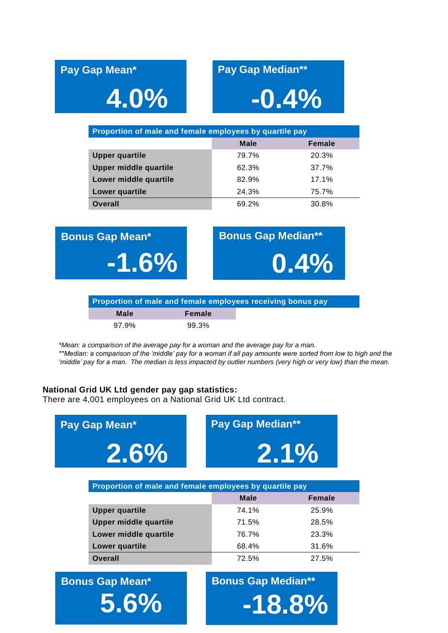# **4.0% -0.4%**

# **Pay Gap Mean\* Pay Gap Median\*\***

| Proportion of male and female employees by quartile pay |             |        |  |
|---------------------------------------------------------|-------------|--------|--|
|                                                         | <b>Male</b> | Female |  |
| <b>Upper quartile</b>                                   | 79.7%       | 20.3%  |  |
| <b>Upper middle quartile</b>                            | 62.3%       | 37.7%  |  |
| Lower middle quartile                                   | 82.9%       | 17.1%  |  |
| Lower quartile                                          | 24.3%       | 75.7%  |  |
| <b>Overall</b>                                          | 69.2%       | 30.8%  |  |

**Bonus Gap Mean\* Bonus Gap Median\*\* -1.6% 0.4%**

**Proportion of male and female employees receiving bonus pay Male Female** 97.9% 99.3%

*\*Mean: a comparison of the average pay for a woman and the average pay for a man. \*\*Median: a comparison of the 'middle' pay for a woman if all pay amounts were sorted from low to high and the 'middle' pay for a man. The median is less impacted by outlier numbers (very high or very low) than the mean.*

### **National Grid UK Ltd gender pay gap statistics:**

There are 4,001 employees on a National Grid UK Ltd contract.

| Pay Gap Mean*                                                               | <b>Pay Gap Median**</b> |               |  |
|-----------------------------------------------------------------------------|-------------------------|---------------|--|
| $2.6\%$                                                                     | $2.1\%$                 |               |  |
| Proportion of male and female employees by quartile pay                     |                         |               |  |
|                                                                             | <b>Male</b>             | <b>Female</b> |  |
| <b>Upper quartile</b>                                                       | 74.1%                   | 25.9%         |  |
| <b>Upper middle quartile</b>                                                | 71.5%                   | 28.5%         |  |
| Lower middle quartile                                                       | 76.7%                   | 23.3%         |  |
| Lower quartile                                                              | 68.4%                   | 31.6%         |  |
| <b>Overall</b>                                                              | 72.5%                   | 27.5%         |  |
| <b>Bonus Gap Median**</b><br><b>Bonus Gap Mean*</b><br>$5.6\%$<br>$-18.8\%$ |                         |               |  |